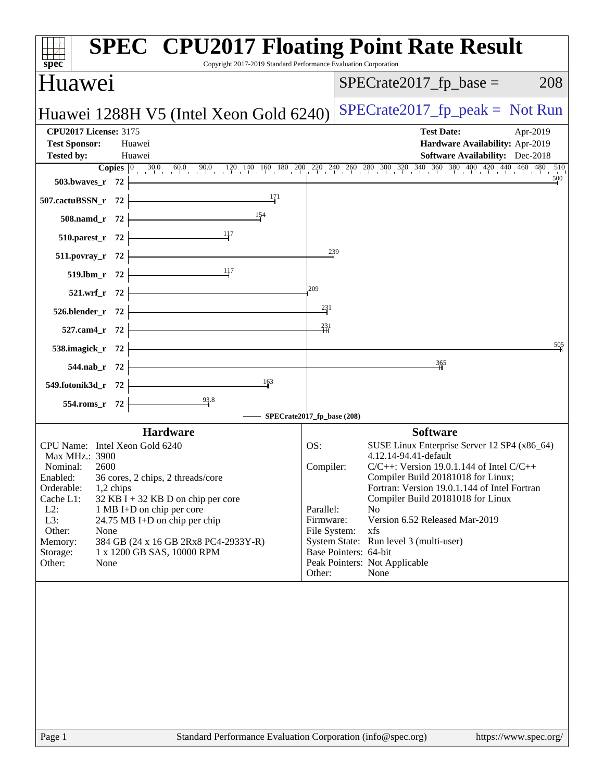| <b>SPEC<sup>®</sup> CPU2017 Floating Point Rate Result</b><br>Copyright 2017-2019 Standard Performance Evaluation Corporation<br>$spec^*$                                                                                                                          |                                                                                                                                                                                                     |
|--------------------------------------------------------------------------------------------------------------------------------------------------------------------------------------------------------------------------------------------------------------------|-----------------------------------------------------------------------------------------------------------------------------------------------------------------------------------------------------|
| Huawei                                                                                                                                                                                                                                                             | $SPECrate2017_fp\_base =$<br>208                                                                                                                                                                    |
| Huawei 1288H V5 (Intel Xeon Gold 6240)                                                                                                                                                                                                                             | $SPECrate2017fr peak = Not Run$                                                                                                                                                                     |
| <b>CPU2017 License: 3175</b><br><b>Test Sponsor:</b><br>Huawei                                                                                                                                                                                                     | <b>Test Date:</b><br>Apr-2019<br>Hardware Availability: Apr-2019                                                                                                                                    |
| <b>Tested by:</b><br>Huawei                                                                                                                                                                                                                                        | <b>Software Availability:</b> Dec-2018                                                                                                                                                              |
| 503.bwaves_r $72$ $\vdash$                                                                                                                                                                                                                                         | <b>Copies</b> $\begin{bmatrix} 0 & 30.0 & 60.0 & 90.0 & 120 & 140 & 160 & 180 & 200 & 220 & 240 & 260 & 280 & 300 & 320 & 340 & 360 & 380 & 400 & 420 & 440 & 460 & 480 & 510 \end{bmatrix}$<br>500 |
| 507.cactuBSSN_r $72$                                                                                                                                                                                                                                               |                                                                                                                                                                                                     |
| $508$ .namd_r 72 $\leftarrow$                                                                                                                                                                                                                                      |                                                                                                                                                                                                     |
| $\frac{11}{7}$<br>510.parest_r $72$                                                                                                                                                                                                                                |                                                                                                                                                                                                     |
| $511. povray_r 72$                                                                                                                                                                                                                                                 | 239                                                                                                                                                                                                 |
| $\frac{11}{7}$<br>519.1bm_r 72                                                                                                                                                                                                                                     |                                                                                                                                                                                                     |
| 209<br>$521.wrf_r 72$                                                                                                                                                                                                                                              |                                                                                                                                                                                                     |
| <u> Alexandria (Carlos Carlos Carlos Carlos Carlos Carlos Carlos Carlos Carlos Carlos Carlos Carlos Carlos Carlos Carlos Carlos Carlos Carlos Carlos Carlos Carlos Carlos Carlos Carlos Carlos Carlos Carlos Carlos Carlos Carlo</u><br>$526. \text{blender}_r$ 72 | $\frac{231}{2}$                                                                                                                                                                                     |
| $527$ .cam4_r 72 $\downarrow$                                                                                                                                                                                                                                      | $\frac{231}{11}$                                                                                                                                                                                    |
| 538.imagick_r $72$ $-$                                                                                                                                                                                                                                             | 50,5                                                                                                                                                                                                |
| $544.nab_r$ 72                                                                                                                                                                                                                                                     | 365                                                                                                                                                                                                 |
| 163<br>549.fotonik3d_r $72$ $\vdash$                                                                                                                                                                                                                               |                                                                                                                                                                                                     |
| 554.roms_r 72                                                                                                                                                                                                                                                      |                                                                                                                                                                                                     |
| - SPECrate2017_fp_base (208)                                                                                                                                                                                                                                       |                                                                                                                                                                                                     |
| <b>Hardware</b>                                                                                                                                                                                                                                                    | <b>Software</b>                                                                                                                                                                                     |
| CPU Name: Intel Xeon Gold 6240<br>OS:<br>Max MHz.: 3900                                                                                                                                                                                                            | SUSE Linux Enterprise Server 12 SP4 (x86_64)<br>4.12.14-94.41-default                                                                                                                               |
| Nominal:<br>2600                                                                                                                                                                                                                                                   | $C/C++$ : Version 19.0.1.144 of Intel $C/C++$<br>Compiler:                                                                                                                                          |
| Enabled: 36 cores, 2 chips, 2 threads/core                                                                                                                                                                                                                         | Compiler Build 20181018 for Linux;                                                                                                                                                                  |
| Orderable:<br>1,2 chips<br>Cache L1:<br>$32$ KB I + 32 KB D on chip per core                                                                                                                                                                                       | Fortran: Version 19.0.1.144 of Intel Fortran<br>Compiler Build 20181018 for Linux                                                                                                                   |
| $L2$ :<br>1 MB I+D on chip per core                                                                                                                                                                                                                                | Parallel:<br>N <sub>o</sub>                                                                                                                                                                         |
| L3:<br>24.75 MB I+D on chip per chip<br>Other:                                                                                                                                                                                                                     | Version 6.52 Released Mar-2019<br>Firmware:<br>xfs                                                                                                                                                  |
| None<br>384 GB (24 x 16 GB 2Rx8 PC4-2933Y-R)<br>Memory:                                                                                                                                                                                                            | File System:<br>System State: Run level 3 (multi-user)                                                                                                                                              |
| 1 x 1200 GB SAS, 10000 RPM<br>Storage:                                                                                                                                                                                                                             | Base Pointers: 64-bit                                                                                                                                                                               |
| Other:<br>None                                                                                                                                                                                                                                                     | Peak Pointers: Not Applicable<br>Other:<br>None                                                                                                                                                     |
|                                                                                                                                                                                                                                                                    |                                                                                                                                                                                                     |
|                                                                                                                                                                                                                                                                    |                                                                                                                                                                                                     |
|                                                                                                                                                                                                                                                                    |                                                                                                                                                                                                     |
|                                                                                                                                                                                                                                                                    |                                                                                                                                                                                                     |
|                                                                                                                                                                                                                                                                    |                                                                                                                                                                                                     |
|                                                                                                                                                                                                                                                                    |                                                                                                                                                                                                     |
|                                                                                                                                                                                                                                                                    |                                                                                                                                                                                                     |
|                                                                                                                                                                                                                                                                    |                                                                                                                                                                                                     |
|                                                                                                                                                                                                                                                                    |                                                                                                                                                                                                     |
| Standard Performance Evaluation Corporation (info@spec.org)<br>Page 1                                                                                                                                                                                              | https://www.spec.org/                                                                                                                                                                               |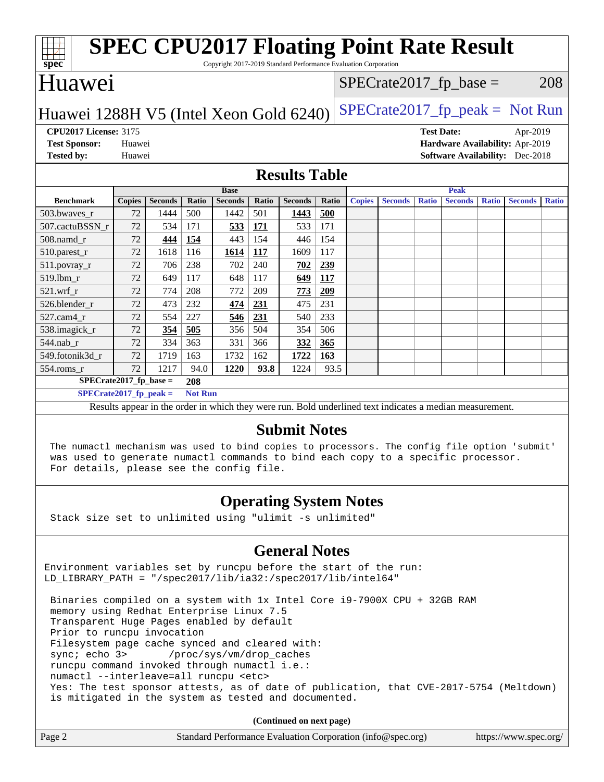| <b>SPEC CPU2017 Floating Point Rate Result</b><br>spec<br>Copyright 2017-2019 Standard Performance Evaluation Corporation |                                                               |                |                |                                                                                                          |       |                |       |               |                |              |                |              |                                        |              |
|---------------------------------------------------------------------------------------------------------------------------|---------------------------------------------------------------|----------------|----------------|----------------------------------------------------------------------------------------------------------|-------|----------------|-------|---------------|----------------|--------------|----------------|--------------|----------------------------------------|--------------|
| Huawei<br>208<br>$SPECrate2017_fp\_base =$                                                                                |                                                               |                |                |                                                                                                          |       |                |       |               |                |              |                |              |                                        |              |
| $SPECrate2017_fp\_peak = Not Run$<br>Huawei 1288H V5 (Intel Xeon Gold 6240)                                               |                                                               |                |                |                                                                                                          |       |                |       |               |                |              |                |              |                                        |              |
|                                                                                                                           | <b>CPU2017 License: 3175</b><br><b>Test Date:</b><br>Apr-2019 |                |                |                                                                                                          |       |                |       |               |                |              |                |              |                                        |              |
| <b>Test Sponsor:</b>                                                                                                      | Huawei                                                        |                |                |                                                                                                          |       |                |       |               |                |              |                |              | Hardware Availability: Apr-2019        |              |
| <b>Tested by:</b>                                                                                                         | Huawei                                                        |                |                |                                                                                                          |       |                |       |               |                |              |                |              | <b>Software Availability:</b> Dec-2018 |              |
| <b>Results Table</b>                                                                                                      |                                                               |                |                |                                                                                                          |       |                |       |               |                |              |                |              |                                        |              |
|                                                                                                                           |                                                               |                |                | <b>Base</b>                                                                                              |       |                |       |               |                |              | <b>Peak</b>    |              |                                        |              |
| <b>Benchmark</b>                                                                                                          | <b>Copies</b>                                                 | <b>Seconds</b> | Ratio          | <b>Seconds</b>                                                                                           | Ratio | <b>Seconds</b> | Ratio | <b>Copies</b> | <b>Seconds</b> | <b>Ratio</b> | <b>Seconds</b> | <b>Ratio</b> | <b>Seconds</b>                         | <b>Ratio</b> |
| 503.bwaves_r                                                                                                              | 72                                                            | 1444           | 500            | 1442                                                                                                     | 501   | 1443           | 500   |               |                |              |                |              |                                        |              |
| 507.cactuBSSN r                                                                                                           | 72                                                            | 534            | 171            | 533                                                                                                      | 171   | 533            | 171   |               |                |              |                |              |                                        |              |
| 508.namd_r                                                                                                                | 72                                                            | 444            | 154            | 443                                                                                                      | 154   | 446            | 154   |               |                |              |                |              |                                        |              |
| 510.parest_r                                                                                                              | 72                                                            | 1618           | 116            | 1614                                                                                                     | 117   | 1609           | 117   |               |                |              |                |              |                                        |              |
| 511.povray_r                                                                                                              | 72                                                            | 706            | 238            | 702                                                                                                      | 240   | 702            | 239   |               |                |              |                |              |                                        |              |
| 519.lbm r                                                                                                                 | 72                                                            | 649            | 117            | 648                                                                                                      | 117   | 649            | 117   |               |                |              |                |              |                                        |              |
| $521.wrf$ r                                                                                                               | 72                                                            | 774            | 208            | 772                                                                                                      | 209   | 773            | 209   |               |                |              |                |              |                                        |              |
| 526.blender r                                                                                                             | 72                                                            | 473            | 232            | 474                                                                                                      | 231   | 475            | 231   |               |                |              |                |              |                                        |              |
| 527.cam4_r                                                                                                                | 72                                                            | 554            | 227            | 546                                                                                                      | 231   | 540            | 233   |               |                |              |                |              |                                        |              |
| 538.imagick_r                                                                                                             | 72                                                            | 354            | 505            | 356                                                                                                      | 504   | 354            | 506   |               |                |              |                |              |                                        |              |
| 544.nab_r                                                                                                                 | 72                                                            | 334            | 363            | 331                                                                                                      | 366   | 332            | 365   |               |                |              |                |              |                                        |              |
| 549.fotonik3d r                                                                                                           | 72                                                            | 1719           | 163            | 1732                                                                                                     | 162   | 1722           | 163   |               |                |              |                |              |                                        |              |
| $554$ .roms_r                                                                                                             | 72                                                            | 1217           | 94.0           | 1220                                                                                                     | 93.8  | 1224           | 93.5  |               |                |              |                |              |                                        |              |
| $SPECrate2017_fp\_base =$                                                                                                 |                                                               |                | 208            |                                                                                                          |       |                |       |               |                |              |                |              |                                        |              |
| $SPECrate2017_fp_peak =$                                                                                                  |                                                               |                | <b>Not Run</b> |                                                                                                          |       |                |       |               |                |              |                |              |                                        |              |
|                                                                                                                           |                                                               |                |                | Results appear in the order in which they were run. Bold underlined text indicates a median measurement. |       |                |       |               |                |              |                |              |                                        |              |
| <b>Submit Notes</b>                                                                                                       |                                                               |                |                |                                                                                                          |       |                |       |               |                |              |                |              |                                        |              |

 The numactl mechanism was used to bind copies to processors. The config file option 'submit' was used to generate numactl commands to bind each copy to a specific processor. For details, please see the config file.

#### **[Operating System Notes](http://www.spec.org/auto/cpu2017/Docs/result-fields.html#OperatingSystemNotes)**

Stack size set to unlimited using "ulimit -s unlimited"

#### **[General Notes](http://www.spec.org/auto/cpu2017/Docs/result-fields.html#GeneralNotes)**

Environment variables set by runcpu before the start of the run: LD\_LIBRARY\_PATH = "/spec2017/lib/ia32:/spec2017/lib/intel64"

 Binaries compiled on a system with 1x Intel Core i9-7900X CPU + 32GB RAM memory using Redhat Enterprise Linux 7.5 Transparent Huge Pages enabled by default Prior to runcpu invocation Filesystem page cache synced and cleared with: sync; echo 3> /proc/sys/vm/drop\_caches runcpu command invoked through numactl i.e.: numactl --interleave=all runcpu <etc> Yes: The test sponsor attests, as of date of publication, that CVE-2017-5754 (Meltdown) is mitigated in the system as tested and documented.

**(Continued on next page)**

| Page 2 | Standard Performance Evaluation Corporation (info@spec.org) | https://www.spec.org/ |
|--------|-------------------------------------------------------------|-----------------------|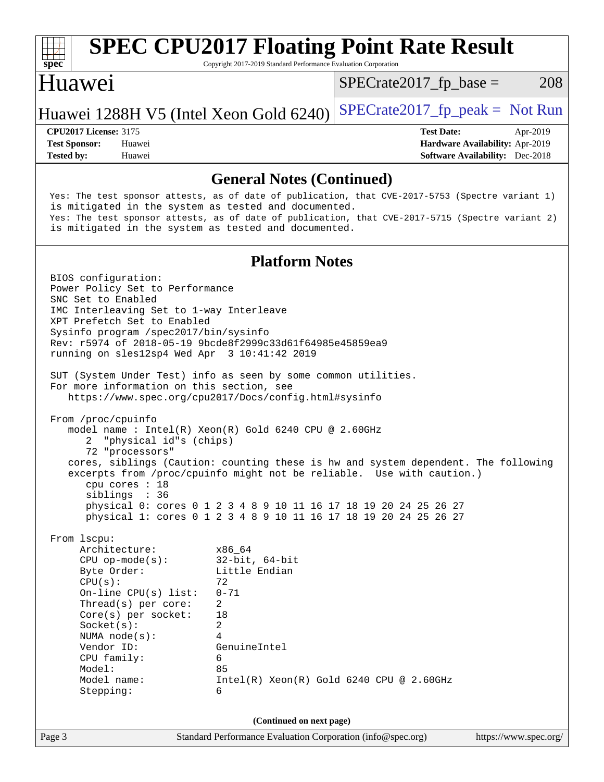

## **[SPEC CPU2017 Floating Point Rate Result](http://www.spec.org/auto/cpu2017/Docs/result-fields.html#SPECCPU2017FloatingPointRateResult)**

Copyright 2017-2019 Standard Performance Evaluation Corporation

#### Huawei

 $SPECTate2017<sub>fr</sub> base = 208$ 

#### Huawei 1288H V5 (Intel Xeon Gold  $6240$ ) [SPECrate2017\\_fp\\_peak =](http://www.spec.org/auto/cpu2017/Docs/result-fields.html#SPECrate2017fppeak) Not Run

**[Tested by:](http://www.spec.org/auto/cpu2017/Docs/result-fields.html#Testedby)** Huawei **[Software Availability:](http://www.spec.org/auto/cpu2017/Docs/result-fields.html#SoftwareAvailability)** Dec-2018

**[CPU2017 License:](http://www.spec.org/auto/cpu2017/Docs/result-fields.html#CPU2017License)** 3175 **[Test Date:](http://www.spec.org/auto/cpu2017/Docs/result-fields.html#TestDate)** Apr-2019 **[Test Sponsor:](http://www.spec.org/auto/cpu2017/Docs/result-fields.html#TestSponsor)** Huawei **[Hardware Availability:](http://www.spec.org/auto/cpu2017/Docs/result-fields.html#HardwareAvailability)** Apr-2019

#### **[General Notes \(Continued\)](http://www.spec.org/auto/cpu2017/Docs/result-fields.html#GeneralNotes)**

 Yes: The test sponsor attests, as of date of publication, that CVE-2017-5753 (Spectre variant 1) is mitigated in the system as tested and documented. Yes: The test sponsor attests, as of date of publication, that CVE-2017-5715 (Spectre variant 2) is mitigated in the system as tested and documented. **[Platform Notes](http://www.spec.org/auto/cpu2017/Docs/result-fields.html#PlatformNotes)** BIOS configuration: Power Policy Set to Performance SNC Set to Enabled IMC Interleaving Set to 1-way Interleave XPT Prefetch Set to Enabled Sysinfo program /spec2017/bin/sysinfo Rev: r5974 of 2018-05-19 9bcde8f2999c33d61f64985e45859ea9 running on sles12sp4 Wed Apr 3 10:41:42 2019 SUT (System Under Test) info as seen by some common utilities. For more information on this section, see <https://www.spec.org/cpu2017/Docs/config.html#sysinfo> From /proc/cpuinfo model name : Intel(R) Xeon(R) Gold 6240 CPU @ 2.60GHz 2 "physical id"s (chips) 72 "processors" cores, siblings (Caution: counting these is hw and system dependent. The following excerpts from /proc/cpuinfo might not be reliable. Use with caution.) cpu cores : 18 siblings : 36 physical 0: cores 0 1 2 3 4 8 9 10 11 16 17 18 19 20 24 25 26 27 physical 1: cores 0 1 2 3 4 8 9 10 11 16 17 18 19 20 24 25 26 27 From lscpu: Architecture: x86\_64 CPU op-mode(s): 32-bit, 64-bit<br>Byte Order: Little Endian Little Endian  $CPU(s):$  72 On-line CPU(s) list: 0-71 Thread(s) per core: 2 Core(s) per socket: 18 Socket(s): 2 NUMA node(s): 4 Vendor ID: GenuineIntel CPU family: 6 Model: 85 Model name: Intel(R) Xeon(R) Gold 6240 CPU @ 2.60GHz Stepping: 6 **(Continued on next page)**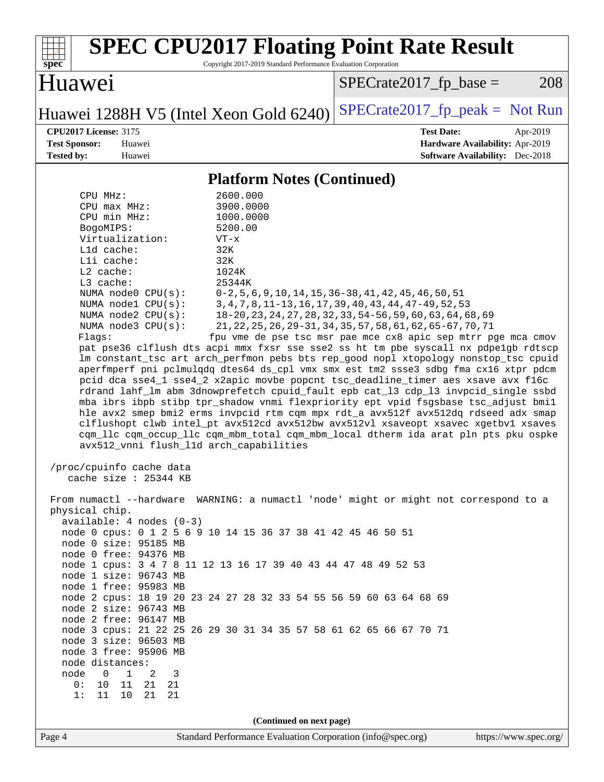| <b>SPEC CPU2017 Floating Point Rate Result</b><br>Copyright 2017-2019 Standard Performance Evaluation Corporation<br>$spec^*$                                                                                                                                                                                                                                                                                                                                                                                                                                                                                                                                                                                                                                                                                                                                                                                                                                                                                                                                                                                                                                                                                                           |                                                                                                                                                                                                                                                                                                                        |
|-----------------------------------------------------------------------------------------------------------------------------------------------------------------------------------------------------------------------------------------------------------------------------------------------------------------------------------------------------------------------------------------------------------------------------------------------------------------------------------------------------------------------------------------------------------------------------------------------------------------------------------------------------------------------------------------------------------------------------------------------------------------------------------------------------------------------------------------------------------------------------------------------------------------------------------------------------------------------------------------------------------------------------------------------------------------------------------------------------------------------------------------------------------------------------------------------------------------------------------------|------------------------------------------------------------------------------------------------------------------------------------------------------------------------------------------------------------------------------------------------------------------------------------------------------------------------|
| Huawei                                                                                                                                                                                                                                                                                                                                                                                                                                                                                                                                                                                                                                                                                                                                                                                                                                                                                                                                                                                                                                                                                                                                                                                                                                  | 208<br>$SPECrate2017_fp\_base =$                                                                                                                                                                                                                                                                                       |
| Huawei 1288H V5 (Intel Xeon Gold 6240)                                                                                                                                                                                                                                                                                                                                                                                                                                                                                                                                                                                                                                                                                                                                                                                                                                                                                                                                                                                                                                                                                                                                                                                                  | $SPECrate2017_fp\_peak = Not Run$                                                                                                                                                                                                                                                                                      |
| <b>CPU2017 License: 3175</b><br><b>Test Sponsor:</b><br>Huawei<br><b>Tested by:</b><br>Huawei                                                                                                                                                                                                                                                                                                                                                                                                                                                                                                                                                                                                                                                                                                                                                                                                                                                                                                                                                                                                                                                                                                                                           | <b>Test Date:</b><br>Apr-2019<br>Hardware Availability: Apr-2019<br><b>Software Availability:</b> Dec-2018                                                                                                                                                                                                             |
| <b>Platform Notes (Continued)</b>                                                                                                                                                                                                                                                                                                                                                                                                                                                                                                                                                                                                                                                                                                                                                                                                                                                                                                                                                                                                                                                                                                                                                                                                       |                                                                                                                                                                                                                                                                                                                        |
| 2600.000<br>CPU MHz:<br>3900.0000<br>CPU max MHz:<br>CPU min MHz:<br>1000.0000<br>BogoMIPS:<br>5200.00<br>Virtualization:<br>$VT - x$<br>Lld cache:<br>32K<br>Lli cache:<br>32K<br>L2 cache:<br>1024K<br>L3 cache:<br>25344K<br>NUMA node0 CPU(s):<br>NUMA nodel CPU(s):<br>NUMA node2 CPU(s):<br>NUMA node3 CPU(s):<br>Flaqs:<br>pat pse36 clflush dts acpi mmx fxsr sse sse2 ss ht tm pbe syscall nx pdpelgb rdtscp<br>lm constant_tsc art arch_perfmon pebs bts rep_good nopl xtopology nonstop_tsc cpuid<br>aperfmperf pni pclmulqdq dtes64 ds_cpl vmx smx est tm2 ssse3 sdbg fma cx16 xtpr pdcm<br>pcid dca sse4_1 sse4_2 x2apic movbe popcnt tsc_deadline_timer aes xsave avx f16c<br>rdrand lahf_lm abm 3dnowprefetch cpuid_fault epb cat_13 cdp_13 invpcid_single ssbd<br>mba ibrs ibpb stibp tpr_shadow vnmi flexpriority ept vpid fsgsbase tsc_adjust bmil<br>hle avx2 smep bmi2 erms invpcid rtm cqm mpx rdt_a avx512f avx512dq rdseed adx smap<br>clflushopt clwb intel_pt avx512cd avx512bw avx512vl xsaveopt xsavec xgetbvl xsaves<br>cqm_llc cqm_occup_llc cqm_mbm_total cqm_mbm_local dtherm ida arat pln pts pku ospke<br>avx512_vnni flush_l1d arch_capabilities<br>/proc/cpuinfo cache data<br>cache size : 25344 KB | $0-2, 5, 6, 9, 10, 14, 15, 36-38, 41, 42, 45, 46, 50, 51$<br>3, 4, 7, 8, 11-13, 16, 17, 39, 40, 43, 44, 47-49, 52, 53<br>18-20, 23, 24, 27, 28, 32, 33, 54-56, 59, 60, 63, 64, 68, 69<br>21, 22, 25, 26, 29-31, 34, 35, 57, 58, 61, 62, 65-67, 70, 71<br>fpu vme de pse tsc msr pae mce cx8 apic sep mtrr pge mca cmov |
| From numactl --hardware WARNING: a numactl 'node' might or might not correspond to a<br>physical chip.<br>$available: 4 nodes (0-3)$<br>node 0 cpus: 0 1 2 5 6 9 10 14 15 36 37 38 41 42 45 46 50 51<br>node 0 size: 95185 MB<br>node 0 free: 94376 MB<br>node 1 cpus: 3 4 7 8 11 12 13 16 17 39 40 43 44 47 48 49 52 53<br>node 1 size: 96743 MB<br>node 1 free: 95983 MB<br>node 2 cpus: 18 19 20 23 24 27 28 32 33 54 55 56 59 60 63 64 68 69<br>node 2 size: 96743 MB<br>node 2 free: 96147 MB<br>node 3 cpus: 21 22 25 26 29 30 31 34 35 57 58 61 62 65 66 67 70 71<br>node 3 size: 96503 MB<br>node 3 free: 95906 MB<br>node distances:<br>$\overline{0}$<br>$\overline{1}$<br>2<br>3<br>node<br>0: 10 11 21 21<br>11 10 21<br>21<br>1:<br>(Continued on next page)                                                                                                                                                                                                                                                                                                                                                                                                                                                               |                                                                                                                                                                                                                                                                                                                        |
| Page 4<br>Standard Performance Evaluation Corporation (info@spec.org)                                                                                                                                                                                                                                                                                                                                                                                                                                                                                                                                                                                                                                                                                                                                                                                                                                                                                                                                                                                                                                                                                                                                                                   | https://www.spec.org/                                                                                                                                                                                                                                                                                                  |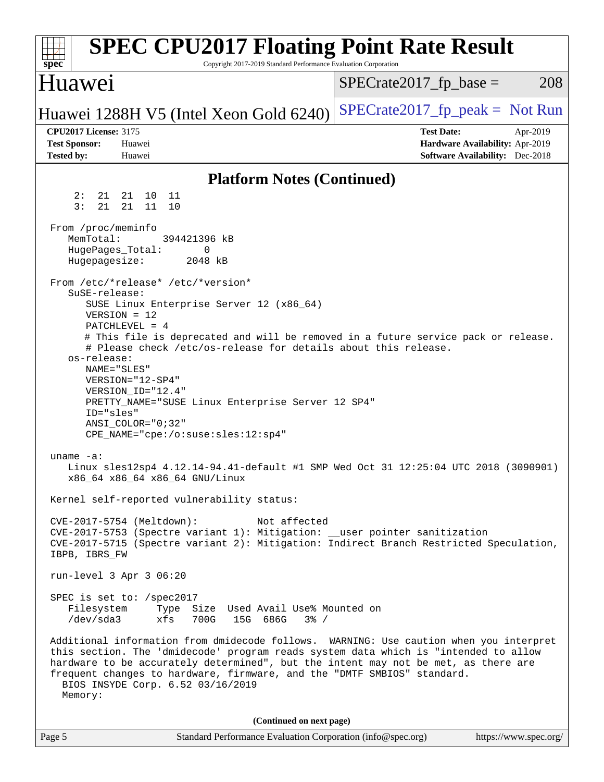| <b>SPEC CPU2017 Floating Point Rate Result</b><br>Copyright 2017-2019 Standard Performance Evaluation Corporation<br>spec <sup>®</sup>                                                                                                                                                                                                                                                                                                                                                                               |                                                                                                            |
|----------------------------------------------------------------------------------------------------------------------------------------------------------------------------------------------------------------------------------------------------------------------------------------------------------------------------------------------------------------------------------------------------------------------------------------------------------------------------------------------------------------------|------------------------------------------------------------------------------------------------------------|
| Huawei                                                                                                                                                                                                                                                                                                                                                                                                                                                                                                               | $SPECrate2017_fp\_base =$<br>208                                                                           |
| Huawei 1288H V5 (Intel Xeon Gold 6240)                                                                                                                                                                                                                                                                                                                                                                                                                                                                               | $SPECrate2017_fp\_peak = Not Run$                                                                          |
| <b>CPU2017 License: 3175</b><br><b>Test Sponsor:</b><br>Huawei<br><b>Tested by:</b><br>Huawei                                                                                                                                                                                                                                                                                                                                                                                                                        | <b>Test Date:</b><br>Apr-2019<br>Hardware Availability: Apr-2019<br><b>Software Availability:</b> Dec-2018 |
| <b>Platform Notes (Continued)</b>                                                                                                                                                                                                                                                                                                                                                                                                                                                                                    |                                                                                                            |
| 2:<br>21 21 10<br>11<br>3:<br>21<br>21<br>11<br>10                                                                                                                                                                                                                                                                                                                                                                                                                                                                   |                                                                                                            |
| From /proc/meminfo<br>MemTotal:<br>394421396 kB<br>HugePages_Total:<br>0<br>Hugepagesize:<br>2048 kB                                                                                                                                                                                                                                                                                                                                                                                                                 |                                                                                                            |
| From /etc/*release* /etc/*version*<br>SuSE-release:<br>SUSE Linux Enterprise Server 12 (x86_64)<br>$VERSION = 12$<br>PATCHLEVEL = 4<br># This file is deprecated and will be removed in a future service pack or release.<br># Please check /etc/os-release for details about this release.<br>os-release:<br>NAME="SLES"<br>VERSION="12-SP4"<br>VERSION ID="12.4"<br>PRETTY_NAME="SUSE Linux Enterprise Server 12 SP4"<br>ID="sles"<br>$ANSI\_COLOR = "0;32"$<br>CPE_NAME="cpe:/o:suse:sles:12:sp4"<br>uname $-a$ : |                                                                                                            |
| Linux sles12sp4 4.12.14-94.41-default #1 SMP Wed Oct 31 12:25:04 UTC 2018 (3090901)<br>x86_64 x86_64 x86_64 GNU/Linux                                                                                                                                                                                                                                                                                                                                                                                                |                                                                                                            |
| Kernel self-reported vulnerability status:<br>Not affected<br>CVE-2017-5754 (Meltdown):<br>CVE-2017-5753 (Spectre variant 1): Mitigation: __user pointer sanitization<br>CVE-2017-5715 (Spectre variant 2): Mitigation: Indirect Branch Restricted Speculation,<br>IBPB, IBRS_FW                                                                                                                                                                                                                                     |                                                                                                            |
| run-level 3 Apr 3 06:20                                                                                                                                                                                                                                                                                                                                                                                                                                                                                              |                                                                                                            |
| SPEC is set to: /spec2017<br>Filesystem<br>Type Size Used Avail Use% Mounted on<br>700G<br>15G 686G<br>/dev/sda3<br>xfs<br>$3\frac{6}{9}$ /                                                                                                                                                                                                                                                                                                                                                                          |                                                                                                            |
| Additional information from dmidecode follows. WARNING: Use caution when you interpret<br>this section. The 'dmidecode' program reads system data which is "intended to allow<br>hardware to be accurately determined", but the intent may not be met, as there are<br>frequent changes to hardware, firmware, and the "DMTF SMBIOS" standard.<br>BIOS INSYDE Corp. 6.52 03/16/2019<br>Memory:                                                                                                                       |                                                                                                            |
| (Continued on next page)                                                                                                                                                                                                                                                                                                                                                                                                                                                                                             |                                                                                                            |
| Page 5<br>Standard Performance Evaluation Corporation (info@spec.org)                                                                                                                                                                                                                                                                                                                                                                                                                                                | https://www.spec.org/                                                                                      |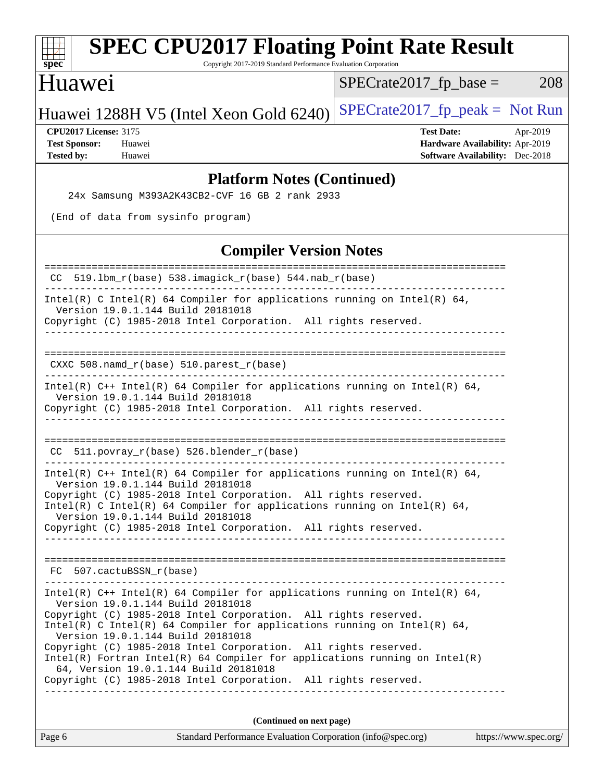| <b>SPEC CPU2017 Floating Point Rate Result</b><br>Copyright 2017-2019 Standard Performance Evaluation Corporation<br>$spec^*$                                                                                                                                                                                                                                                                                                                                                                                                                                        |                               |                                  |                                                                                                |          |
|----------------------------------------------------------------------------------------------------------------------------------------------------------------------------------------------------------------------------------------------------------------------------------------------------------------------------------------------------------------------------------------------------------------------------------------------------------------------------------------------------------------------------------------------------------------------|-------------------------------|----------------------------------|------------------------------------------------------------------------------------------------|----------|
| Huawei                                                                                                                                                                                                                                                                                                                                                                                                                                                                                                                                                               |                               | $SPECrate2017fr base =$          |                                                                                                | 208      |
| Huawei 1288H V5 (Intel Xeon Gold 6240)                                                                                                                                                                                                                                                                                                                                                                                                                                                                                                                               |                               | $SPECrate2017_fp_peak = Not Run$ |                                                                                                |          |
| <b>CPU2017 License: 3175</b><br><b>Test Sponsor:</b><br>Huawei<br><b>Tested by:</b><br>Huawei                                                                                                                                                                                                                                                                                                                                                                                                                                                                        |                               |                                  | <b>Test Date:</b><br>Hardware Availability: Apr-2019<br><b>Software Availability:</b> Dec-2018 | Apr-2019 |
| <b>Platform Notes (Continued)</b>                                                                                                                                                                                                                                                                                                                                                                                                                                                                                                                                    |                               |                                  |                                                                                                |          |
| 24x Samsung M393A2K43CB2-CVF 16 GB 2 rank 2933                                                                                                                                                                                                                                                                                                                                                                                                                                                                                                                       |                               |                                  |                                                                                                |          |
| (End of data from sysinfo program)                                                                                                                                                                                                                                                                                                                                                                                                                                                                                                                                   |                               |                                  |                                                                                                |          |
|                                                                                                                                                                                                                                                                                                                                                                                                                                                                                                                                                                      | <b>Compiler Version Notes</b> |                                  |                                                                                                |          |
| 519.1bm_r(base) 538.imagick_r(base) 544.nab_r(base)<br>CC.                                                                                                                                                                                                                                                                                                                                                                                                                                                                                                           |                               |                                  | =====================                                                                          |          |
| Intel(R) C Intel(R) 64 Compiler for applications running on Intel(R) 64,<br>Version 19.0.1.144 Build 20181018<br>Copyright (C) 1985-2018 Intel Corporation. All rights reserved.                                                                                                                                                                                                                                                                                                                                                                                     |                               |                                  |                                                                                                |          |
| _________________<br>CXXC 508.namd_r(base) 510.parest_r(base)                                                                                                                                                                                                                                                                                                                                                                                                                                                                                                        |                               |                                  |                                                                                                |          |
| Intel(R) $C++$ Intel(R) 64 Compiler for applications running on Intel(R) 64,<br>Version 19.0.1.144 Build 20181018<br>Copyright (C) 1985-2018 Intel Corporation. All rights reserved.                                                                                                                                                                                                                                                                                                                                                                                 |                               |                                  |                                                                                                |          |
| 511.povray_r(base) 526.blender_r(base)<br>CC.                                                                                                                                                                                                                                                                                                                                                                                                                                                                                                                        |                               |                                  |                                                                                                |          |
| Intel(R) $C++$ Intel(R) 64 Compiler for applications running on Intel(R) 64,<br>Version 19.0.1.144 Build 20181018<br>Copyright (C) 1985-2018 Intel Corporation. All rights reserved.<br>Intel(R) C Intel(R) 64 Compiler for applications running on Intel(R) 64,<br>Version 19.0.1.144 Build 20181018<br>Copyright (C) 1985-2018 Intel Corporation. All rights reserved.                                                                                                                                                                                             |                               |                                  |                                                                                                |          |
| FC 507.cactuBSSN r(base)                                                                                                                                                                                                                                                                                                                                                                                                                                                                                                                                             |                               |                                  |                                                                                                |          |
| Intel(R) $C++$ Intel(R) 64 Compiler for applications running on Intel(R) 64,<br>Version 19.0.1.144 Build 20181018<br>Copyright (C) 1985-2018 Intel Corporation. All rights reserved.<br>Intel(R) C Intel(R) 64 Compiler for applications running on Intel(R) 64,<br>Version 19.0.1.144 Build 20181018<br>Copyright (C) 1985-2018 Intel Corporation. All rights reserved.<br>$Intel(R)$ Fortran Intel(R) 64 Compiler for applications running on Intel(R)<br>64, Version 19.0.1.144 Build 20181018<br>Copyright (C) 1985-2018 Intel Corporation. All rights reserved. |                               |                                  |                                                                                                |          |
|                                                                                                                                                                                                                                                                                                                                                                                                                                                                                                                                                                      |                               |                                  |                                                                                                |          |

**(Continued on next page)**

| Page 6 | Standard Performance Evaluation Corporation (info@spec.org) | https://www.spec.org/ |
|--------|-------------------------------------------------------------|-----------------------|
|--------|-------------------------------------------------------------|-----------------------|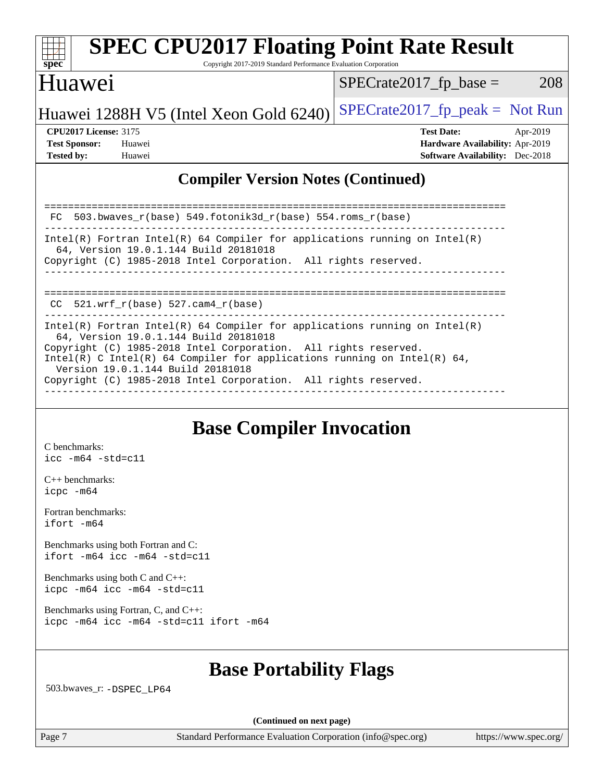

## **[SPEC CPU2017 Floating Point Rate Result](http://www.spec.org/auto/cpu2017/Docs/result-fields.html#SPECCPU2017FloatingPointRateResult)**

Copyright 2017-2019 Standard Performance Evaluation Corporation

#### Huawei

 $SPECrate2017_fp\_base = 208$ 

## Huawei 1288H V5 (Intel Xeon Gold  $6240$ ) [SPECrate2017\\_fp\\_peak =](http://www.spec.org/auto/cpu2017/Docs/result-fields.html#SPECrate2017fppeak) Not Run

**[CPU2017 License:](http://www.spec.org/auto/cpu2017/Docs/result-fields.html#CPU2017License)** 3175 **[Test Date:](http://www.spec.org/auto/cpu2017/Docs/result-fields.html#TestDate)** Apr-2019 **[Test Sponsor:](http://www.spec.org/auto/cpu2017/Docs/result-fields.html#TestSponsor)** Huawei **[Hardware Availability:](http://www.spec.org/auto/cpu2017/Docs/result-fields.html#HardwareAvailability)** Apr-2019 **[Tested by:](http://www.spec.org/auto/cpu2017/Docs/result-fields.html#Testedby)** Huawei **[Software Availability:](http://www.spec.org/auto/cpu2017/Docs/result-fields.html#SoftwareAvailability)** Dec-2018

#### **[Compiler Version Notes \(Continued\)](http://www.spec.org/auto/cpu2017/Docs/result-fields.html#CompilerVersionNotes)**

| FC 503.bwayes $r(base)$ 549.fotonik3d $r(base)$ 554.roms $r(base)$                                                                                                                                                                                                                                                                                                         |
|----------------------------------------------------------------------------------------------------------------------------------------------------------------------------------------------------------------------------------------------------------------------------------------------------------------------------------------------------------------------------|
| Intel(R) Fortran Intel(R) 64 Compiler for applications running on Intel(R)<br>64, Version 19.0.1.144 Build 20181018<br>Copyright (C) 1985-2018 Intel Corporation. All rights reserved.                                                                                                                                                                                     |
| CC $521.$ wrf $r(base) 527.$ cam4 $r(base)$                                                                                                                                                                                                                                                                                                                                |
| Intel(R) Fortran Intel(R) 64 Compiler for applications running on Intel(R)<br>64, Version 19.0.1.144 Build 20181018<br>Copyright (C) 1985-2018 Intel Corporation. All rights reserved.<br>Intel(R) C Intel(R) 64 Compiler for applications running on Intel(R) 64,<br>Version 19.0.1.144 Build 20181018<br>Copyright (C) 1985-2018 Intel Corporation. All rights reserved. |

#### **[Base Compiler Invocation](http://www.spec.org/auto/cpu2017/Docs/result-fields.html#BaseCompilerInvocation)**

[C benchmarks](http://www.spec.org/auto/cpu2017/Docs/result-fields.html#Cbenchmarks): [icc -m64 -std=c11](http://www.spec.org/cpu2017/results/res2019q2/cpu2017-20190428-12518.flags.html#user_CCbase_intel_icc_64bit_c11_33ee0cdaae7deeeab2a9725423ba97205ce30f63b9926c2519791662299b76a0318f32ddfffdc46587804de3178b4f9328c46fa7c2b0cd779d7a61945c91cd35)

[C++ benchmarks:](http://www.spec.org/auto/cpu2017/Docs/result-fields.html#CXXbenchmarks) [icpc -m64](http://www.spec.org/cpu2017/results/res2019q2/cpu2017-20190428-12518.flags.html#user_CXXbase_intel_icpc_64bit_4ecb2543ae3f1412ef961e0650ca070fec7b7afdcd6ed48761b84423119d1bf6bdf5cad15b44d48e7256388bc77273b966e5eb805aefd121eb22e9299b2ec9d9)

[Fortran benchmarks](http://www.spec.org/auto/cpu2017/Docs/result-fields.html#Fortranbenchmarks): [ifort -m64](http://www.spec.org/cpu2017/results/res2019q2/cpu2017-20190428-12518.flags.html#user_FCbase_intel_ifort_64bit_24f2bb282fbaeffd6157abe4f878425411749daecae9a33200eee2bee2fe76f3b89351d69a8130dd5949958ce389cf37ff59a95e7a40d588e8d3a57e0c3fd751)

[Benchmarks using both Fortran and C](http://www.spec.org/auto/cpu2017/Docs/result-fields.html#BenchmarksusingbothFortranandC): [ifort -m64](http://www.spec.org/cpu2017/results/res2019q2/cpu2017-20190428-12518.flags.html#user_CC_FCbase_intel_ifort_64bit_24f2bb282fbaeffd6157abe4f878425411749daecae9a33200eee2bee2fe76f3b89351d69a8130dd5949958ce389cf37ff59a95e7a40d588e8d3a57e0c3fd751) [icc -m64 -std=c11](http://www.spec.org/cpu2017/results/res2019q2/cpu2017-20190428-12518.flags.html#user_CC_FCbase_intel_icc_64bit_c11_33ee0cdaae7deeeab2a9725423ba97205ce30f63b9926c2519791662299b76a0318f32ddfffdc46587804de3178b4f9328c46fa7c2b0cd779d7a61945c91cd35)

[Benchmarks using both C and C++](http://www.spec.org/auto/cpu2017/Docs/result-fields.html#BenchmarksusingbothCandCXX): [icpc -m64](http://www.spec.org/cpu2017/results/res2019q2/cpu2017-20190428-12518.flags.html#user_CC_CXXbase_intel_icpc_64bit_4ecb2543ae3f1412ef961e0650ca070fec7b7afdcd6ed48761b84423119d1bf6bdf5cad15b44d48e7256388bc77273b966e5eb805aefd121eb22e9299b2ec9d9) [icc -m64 -std=c11](http://www.spec.org/cpu2017/results/res2019q2/cpu2017-20190428-12518.flags.html#user_CC_CXXbase_intel_icc_64bit_c11_33ee0cdaae7deeeab2a9725423ba97205ce30f63b9926c2519791662299b76a0318f32ddfffdc46587804de3178b4f9328c46fa7c2b0cd779d7a61945c91cd35)

[Benchmarks using Fortran, C, and C++:](http://www.spec.org/auto/cpu2017/Docs/result-fields.html#BenchmarksusingFortranCandCXX) [icpc -m64](http://www.spec.org/cpu2017/results/res2019q2/cpu2017-20190428-12518.flags.html#user_CC_CXX_FCbase_intel_icpc_64bit_4ecb2543ae3f1412ef961e0650ca070fec7b7afdcd6ed48761b84423119d1bf6bdf5cad15b44d48e7256388bc77273b966e5eb805aefd121eb22e9299b2ec9d9) [icc -m64 -std=c11](http://www.spec.org/cpu2017/results/res2019q2/cpu2017-20190428-12518.flags.html#user_CC_CXX_FCbase_intel_icc_64bit_c11_33ee0cdaae7deeeab2a9725423ba97205ce30f63b9926c2519791662299b76a0318f32ddfffdc46587804de3178b4f9328c46fa7c2b0cd779d7a61945c91cd35) [ifort -m64](http://www.spec.org/cpu2017/results/res2019q2/cpu2017-20190428-12518.flags.html#user_CC_CXX_FCbase_intel_ifort_64bit_24f2bb282fbaeffd6157abe4f878425411749daecae9a33200eee2bee2fe76f3b89351d69a8130dd5949958ce389cf37ff59a95e7a40d588e8d3a57e0c3fd751)

### **[Base Portability Flags](http://www.spec.org/auto/cpu2017/Docs/result-fields.html#BasePortabilityFlags)**

503.bwaves\_r: [-DSPEC\\_LP64](http://www.spec.org/cpu2017/results/res2019q2/cpu2017-20190428-12518.flags.html#suite_basePORTABILITY503_bwaves_r_DSPEC_LP64)

**(Continued on next page)**

Page 7 Standard Performance Evaluation Corporation [\(info@spec.org\)](mailto:info@spec.org) <https://www.spec.org/>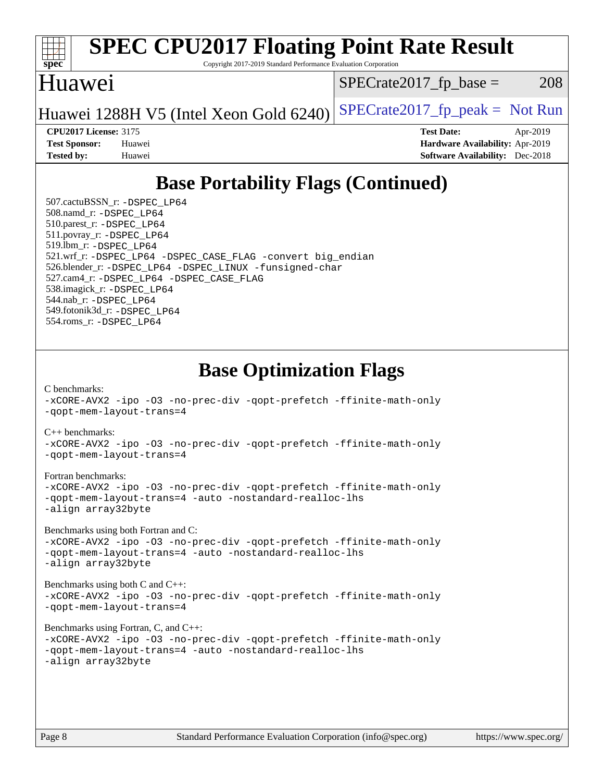

# **[SPEC CPU2017 Floating Point Rate Result](http://www.spec.org/auto/cpu2017/Docs/result-fields.html#SPECCPU2017FloatingPointRateResult)**

Copyright 2017-2019 Standard Performance Evaluation Corporation

### Huawei

 $SPECTate2017<sub>fr</sub> base = 208$ 

Huawei 1288H V5 (Intel Xeon Gold  $6240$ ) SPECrate 2017\_fp\_peak = Not Run

**[CPU2017 License:](http://www.spec.org/auto/cpu2017/Docs/result-fields.html#CPU2017License)** 3175 **[Test Date:](http://www.spec.org/auto/cpu2017/Docs/result-fields.html#TestDate)** Apr-2019 **[Test Sponsor:](http://www.spec.org/auto/cpu2017/Docs/result-fields.html#TestSponsor)** Huawei **[Hardware Availability:](http://www.spec.org/auto/cpu2017/Docs/result-fields.html#HardwareAvailability)** Apr-2019 **[Tested by:](http://www.spec.org/auto/cpu2017/Docs/result-fields.html#Testedby)** Huawei **[Software Availability:](http://www.spec.org/auto/cpu2017/Docs/result-fields.html#SoftwareAvailability)** Dec-2018

## **[Base Portability Flags \(Continued\)](http://www.spec.org/auto/cpu2017/Docs/result-fields.html#BasePortabilityFlags)**

 507.cactuBSSN\_r: [-DSPEC\\_LP64](http://www.spec.org/cpu2017/results/res2019q2/cpu2017-20190428-12518.flags.html#suite_basePORTABILITY507_cactuBSSN_r_DSPEC_LP64) 508.namd\_r: [-DSPEC\\_LP64](http://www.spec.org/cpu2017/results/res2019q2/cpu2017-20190428-12518.flags.html#suite_basePORTABILITY508_namd_r_DSPEC_LP64) 510.parest\_r: [-DSPEC\\_LP64](http://www.spec.org/cpu2017/results/res2019q2/cpu2017-20190428-12518.flags.html#suite_basePORTABILITY510_parest_r_DSPEC_LP64) 511.povray\_r: [-DSPEC\\_LP64](http://www.spec.org/cpu2017/results/res2019q2/cpu2017-20190428-12518.flags.html#suite_basePORTABILITY511_povray_r_DSPEC_LP64) 519.lbm\_r: [-DSPEC\\_LP64](http://www.spec.org/cpu2017/results/res2019q2/cpu2017-20190428-12518.flags.html#suite_basePORTABILITY519_lbm_r_DSPEC_LP64) 521.wrf\_r: [-DSPEC\\_LP64](http://www.spec.org/cpu2017/results/res2019q2/cpu2017-20190428-12518.flags.html#suite_basePORTABILITY521_wrf_r_DSPEC_LP64) [-DSPEC\\_CASE\\_FLAG](http://www.spec.org/cpu2017/results/res2019q2/cpu2017-20190428-12518.flags.html#b521.wrf_r_baseCPORTABILITY_DSPEC_CASE_FLAG) [-convert big\\_endian](http://www.spec.org/cpu2017/results/res2019q2/cpu2017-20190428-12518.flags.html#user_baseFPORTABILITY521_wrf_r_convert_big_endian_c3194028bc08c63ac5d04de18c48ce6d347e4e562e8892b8bdbdc0214820426deb8554edfa529a3fb25a586e65a3d812c835984020483e7e73212c4d31a38223) 526.blender\_r: [-DSPEC\\_LP64](http://www.spec.org/cpu2017/results/res2019q2/cpu2017-20190428-12518.flags.html#suite_basePORTABILITY526_blender_r_DSPEC_LP64) [-DSPEC\\_LINUX](http://www.spec.org/cpu2017/results/res2019q2/cpu2017-20190428-12518.flags.html#b526.blender_r_baseCPORTABILITY_DSPEC_LINUX) [-funsigned-char](http://www.spec.org/cpu2017/results/res2019q2/cpu2017-20190428-12518.flags.html#user_baseCPORTABILITY526_blender_r_force_uchar_40c60f00ab013830e2dd6774aeded3ff59883ba5a1fc5fc14077f794d777847726e2a5858cbc7672e36e1b067e7e5c1d9a74f7176df07886a243d7cc18edfe67) 527.cam4\_r: [-DSPEC\\_LP64](http://www.spec.org/cpu2017/results/res2019q2/cpu2017-20190428-12518.flags.html#suite_basePORTABILITY527_cam4_r_DSPEC_LP64) [-DSPEC\\_CASE\\_FLAG](http://www.spec.org/cpu2017/results/res2019q2/cpu2017-20190428-12518.flags.html#b527.cam4_r_baseCPORTABILITY_DSPEC_CASE_FLAG) 538.imagick\_r: [-DSPEC\\_LP64](http://www.spec.org/cpu2017/results/res2019q2/cpu2017-20190428-12518.flags.html#suite_basePORTABILITY538_imagick_r_DSPEC_LP64) 544.nab\_r: [-DSPEC\\_LP64](http://www.spec.org/cpu2017/results/res2019q2/cpu2017-20190428-12518.flags.html#suite_basePORTABILITY544_nab_r_DSPEC_LP64) 549.fotonik3d\_r: [-DSPEC\\_LP64](http://www.spec.org/cpu2017/results/res2019q2/cpu2017-20190428-12518.flags.html#suite_basePORTABILITY549_fotonik3d_r_DSPEC_LP64) 554.roms\_r: [-DSPEC\\_LP64](http://www.spec.org/cpu2017/results/res2019q2/cpu2017-20190428-12518.flags.html#suite_basePORTABILITY554_roms_r_DSPEC_LP64)

### **[Base Optimization Flags](http://www.spec.org/auto/cpu2017/Docs/result-fields.html#BaseOptimizationFlags)**

[C benchmarks](http://www.spec.org/auto/cpu2017/Docs/result-fields.html#Cbenchmarks): [-xCORE-AVX2](http://www.spec.org/cpu2017/results/res2019q2/cpu2017-20190428-12518.flags.html#user_CCbase_f-xCORE-AVX2) [-ipo](http://www.spec.org/cpu2017/results/res2019q2/cpu2017-20190428-12518.flags.html#user_CCbase_f-ipo) [-O3](http://www.spec.org/cpu2017/results/res2019q2/cpu2017-20190428-12518.flags.html#user_CCbase_f-O3) [-no-prec-div](http://www.spec.org/cpu2017/results/res2019q2/cpu2017-20190428-12518.flags.html#user_CCbase_f-no-prec-div) [-qopt-prefetch](http://www.spec.org/cpu2017/results/res2019q2/cpu2017-20190428-12518.flags.html#user_CCbase_f-qopt-prefetch) [-ffinite-math-only](http://www.spec.org/cpu2017/results/res2019q2/cpu2017-20190428-12518.flags.html#user_CCbase_f_finite_math_only_cb91587bd2077682c4b38af759c288ed7c732db004271a9512da14a4f8007909a5f1427ecbf1a0fb78ff2a814402c6114ac565ca162485bbcae155b5e4258871) [-qopt-mem-layout-trans=4](http://www.spec.org/cpu2017/results/res2019q2/cpu2017-20190428-12518.flags.html#user_CCbase_f-qopt-mem-layout-trans_fa39e755916c150a61361b7846f310bcdf6f04e385ef281cadf3647acec3f0ae266d1a1d22d972a7087a248fd4e6ca390a3634700869573d231a252c784941a8) [C++ benchmarks:](http://www.spec.org/auto/cpu2017/Docs/result-fields.html#CXXbenchmarks) [-xCORE-AVX2](http://www.spec.org/cpu2017/results/res2019q2/cpu2017-20190428-12518.flags.html#user_CXXbase_f-xCORE-AVX2) [-ipo](http://www.spec.org/cpu2017/results/res2019q2/cpu2017-20190428-12518.flags.html#user_CXXbase_f-ipo) [-O3](http://www.spec.org/cpu2017/results/res2019q2/cpu2017-20190428-12518.flags.html#user_CXXbase_f-O3) [-no-prec-div](http://www.spec.org/cpu2017/results/res2019q2/cpu2017-20190428-12518.flags.html#user_CXXbase_f-no-prec-div) [-qopt-prefetch](http://www.spec.org/cpu2017/results/res2019q2/cpu2017-20190428-12518.flags.html#user_CXXbase_f-qopt-prefetch) [-ffinite-math-only](http://www.spec.org/cpu2017/results/res2019q2/cpu2017-20190428-12518.flags.html#user_CXXbase_f_finite_math_only_cb91587bd2077682c4b38af759c288ed7c732db004271a9512da14a4f8007909a5f1427ecbf1a0fb78ff2a814402c6114ac565ca162485bbcae155b5e4258871) [-qopt-mem-layout-trans=4](http://www.spec.org/cpu2017/results/res2019q2/cpu2017-20190428-12518.flags.html#user_CXXbase_f-qopt-mem-layout-trans_fa39e755916c150a61361b7846f310bcdf6f04e385ef281cadf3647acec3f0ae266d1a1d22d972a7087a248fd4e6ca390a3634700869573d231a252c784941a8)

#### [Fortran benchmarks](http://www.spec.org/auto/cpu2017/Docs/result-fields.html#Fortranbenchmarks):

[-xCORE-AVX2](http://www.spec.org/cpu2017/results/res2019q2/cpu2017-20190428-12518.flags.html#user_FCbase_f-xCORE-AVX2) [-ipo](http://www.spec.org/cpu2017/results/res2019q2/cpu2017-20190428-12518.flags.html#user_FCbase_f-ipo) [-O3](http://www.spec.org/cpu2017/results/res2019q2/cpu2017-20190428-12518.flags.html#user_FCbase_f-O3) [-no-prec-div](http://www.spec.org/cpu2017/results/res2019q2/cpu2017-20190428-12518.flags.html#user_FCbase_f-no-prec-div) [-qopt-prefetch](http://www.spec.org/cpu2017/results/res2019q2/cpu2017-20190428-12518.flags.html#user_FCbase_f-qopt-prefetch) [-ffinite-math-only](http://www.spec.org/cpu2017/results/res2019q2/cpu2017-20190428-12518.flags.html#user_FCbase_f_finite_math_only_cb91587bd2077682c4b38af759c288ed7c732db004271a9512da14a4f8007909a5f1427ecbf1a0fb78ff2a814402c6114ac565ca162485bbcae155b5e4258871) [-qopt-mem-layout-trans=4](http://www.spec.org/cpu2017/results/res2019q2/cpu2017-20190428-12518.flags.html#user_FCbase_f-qopt-mem-layout-trans_fa39e755916c150a61361b7846f310bcdf6f04e385ef281cadf3647acec3f0ae266d1a1d22d972a7087a248fd4e6ca390a3634700869573d231a252c784941a8) [-auto](http://www.spec.org/cpu2017/results/res2019q2/cpu2017-20190428-12518.flags.html#user_FCbase_f-auto) [-nostandard-realloc-lhs](http://www.spec.org/cpu2017/results/res2019q2/cpu2017-20190428-12518.flags.html#user_FCbase_f_2003_std_realloc_82b4557e90729c0f113870c07e44d33d6f5a304b4f63d4c15d2d0f1fab99f5daaed73bdb9275d9ae411527f28b936061aa8b9c8f2d63842963b95c9dd6426b8a) [-align array32byte](http://www.spec.org/cpu2017/results/res2019q2/cpu2017-20190428-12518.flags.html#user_FCbase_align_array32byte_b982fe038af199962ba9a80c053b8342c548c85b40b8e86eb3cc33dee0d7986a4af373ac2d51c3f7cf710a18d62fdce2948f201cd044323541f22fc0fffc51b6)

[Benchmarks using both Fortran and C](http://www.spec.org/auto/cpu2017/Docs/result-fields.html#BenchmarksusingbothFortranandC):

[-xCORE-AVX2](http://www.spec.org/cpu2017/results/res2019q2/cpu2017-20190428-12518.flags.html#user_CC_FCbase_f-xCORE-AVX2) [-ipo](http://www.spec.org/cpu2017/results/res2019q2/cpu2017-20190428-12518.flags.html#user_CC_FCbase_f-ipo) [-O3](http://www.spec.org/cpu2017/results/res2019q2/cpu2017-20190428-12518.flags.html#user_CC_FCbase_f-O3) [-no-prec-div](http://www.spec.org/cpu2017/results/res2019q2/cpu2017-20190428-12518.flags.html#user_CC_FCbase_f-no-prec-div) [-qopt-prefetch](http://www.spec.org/cpu2017/results/res2019q2/cpu2017-20190428-12518.flags.html#user_CC_FCbase_f-qopt-prefetch) [-ffinite-math-only](http://www.spec.org/cpu2017/results/res2019q2/cpu2017-20190428-12518.flags.html#user_CC_FCbase_f_finite_math_only_cb91587bd2077682c4b38af759c288ed7c732db004271a9512da14a4f8007909a5f1427ecbf1a0fb78ff2a814402c6114ac565ca162485bbcae155b5e4258871) [-qopt-mem-layout-trans=4](http://www.spec.org/cpu2017/results/res2019q2/cpu2017-20190428-12518.flags.html#user_CC_FCbase_f-qopt-mem-layout-trans_fa39e755916c150a61361b7846f310bcdf6f04e385ef281cadf3647acec3f0ae266d1a1d22d972a7087a248fd4e6ca390a3634700869573d231a252c784941a8) [-auto](http://www.spec.org/cpu2017/results/res2019q2/cpu2017-20190428-12518.flags.html#user_CC_FCbase_f-auto) [-nostandard-realloc-lhs](http://www.spec.org/cpu2017/results/res2019q2/cpu2017-20190428-12518.flags.html#user_CC_FCbase_f_2003_std_realloc_82b4557e90729c0f113870c07e44d33d6f5a304b4f63d4c15d2d0f1fab99f5daaed73bdb9275d9ae411527f28b936061aa8b9c8f2d63842963b95c9dd6426b8a) [-align array32byte](http://www.spec.org/cpu2017/results/res2019q2/cpu2017-20190428-12518.flags.html#user_CC_FCbase_align_array32byte_b982fe038af199962ba9a80c053b8342c548c85b40b8e86eb3cc33dee0d7986a4af373ac2d51c3f7cf710a18d62fdce2948f201cd044323541f22fc0fffc51b6)

[Benchmarks using both C and C++](http://www.spec.org/auto/cpu2017/Docs/result-fields.html#BenchmarksusingbothCandCXX): [-xCORE-AVX2](http://www.spec.org/cpu2017/results/res2019q2/cpu2017-20190428-12518.flags.html#user_CC_CXXbase_f-xCORE-AVX2) [-ipo](http://www.spec.org/cpu2017/results/res2019q2/cpu2017-20190428-12518.flags.html#user_CC_CXXbase_f-ipo) [-O3](http://www.spec.org/cpu2017/results/res2019q2/cpu2017-20190428-12518.flags.html#user_CC_CXXbase_f-O3) [-no-prec-div](http://www.spec.org/cpu2017/results/res2019q2/cpu2017-20190428-12518.flags.html#user_CC_CXXbase_f-no-prec-div) [-qopt-prefetch](http://www.spec.org/cpu2017/results/res2019q2/cpu2017-20190428-12518.flags.html#user_CC_CXXbase_f-qopt-prefetch) [-ffinite-math-only](http://www.spec.org/cpu2017/results/res2019q2/cpu2017-20190428-12518.flags.html#user_CC_CXXbase_f_finite_math_only_cb91587bd2077682c4b38af759c288ed7c732db004271a9512da14a4f8007909a5f1427ecbf1a0fb78ff2a814402c6114ac565ca162485bbcae155b5e4258871) [-qopt-mem-layout-trans=4](http://www.spec.org/cpu2017/results/res2019q2/cpu2017-20190428-12518.flags.html#user_CC_CXXbase_f-qopt-mem-layout-trans_fa39e755916c150a61361b7846f310bcdf6f04e385ef281cadf3647acec3f0ae266d1a1d22d972a7087a248fd4e6ca390a3634700869573d231a252c784941a8)

[Benchmarks using Fortran, C, and C++:](http://www.spec.org/auto/cpu2017/Docs/result-fields.html#BenchmarksusingFortranCandCXX)

```
-xCORE-AVX2 -ipo -O3 -no-prec-div -qopt-prefetch -ffinite-math-only
-qopt-mem-layout-trans=4 -auto -nostandard-realloc-lhs
-align array32byte
```